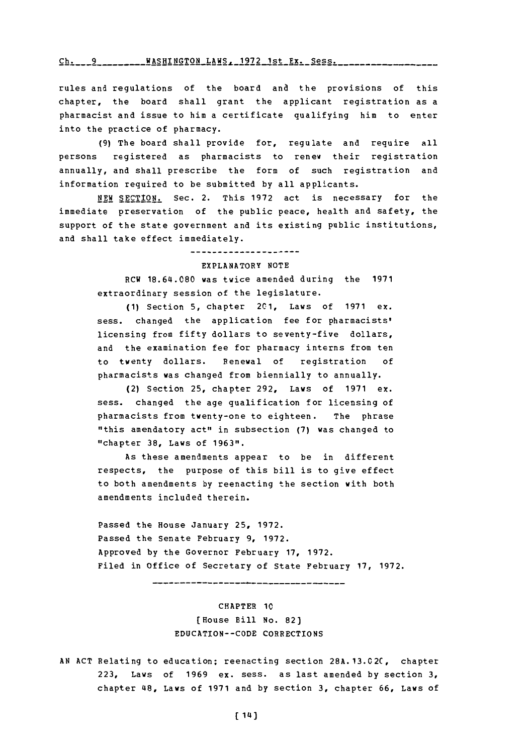# **ci,~-----S---G----LAWS--1-72--st---** Sess. -- **WASHINGTON** LAWS. **1972** Ist Ex. Sess.

rules and regulations of the board and the provisions of this chapter, the board shall grant the applicant registration as a pharmacist and issue to him a certificate qualifying him to enter into the practice of pharmacy.

**(9)** The board shall provide for, regulate and require all persons registered as pharmacists to renew their registration annually, and shall prescribe the form of such registration and information required to be submitted **by** all applicants.

**NEW SECTION.** Sec. 2. This **1972** act is necessary for the immediate preservation of the public peace, health and safety, the support of the state government and its existing public institutions, and shall take effect immediately.

### --------------------EXPLANATORY **NOTE**

RCW 18.64.080 was twice amended during the 1971 extraordinary session of the legislature.

**(1)** Section **5,** chapter 201, Laws of **1971** ex. sess. changed the application fee for pharmacists' licensing from fifty dollars to seventy-five dollars, and the examination fee for pharmacy interns from ten to twenty dollars. Renewal of registration **of** pharmacists was changed from biennially to annually.

(2) Section **25,** chapter **292,** Laws of **1971** ex. sess. changed the age qualification for licensing of pharmacists from twenty-one to eighteen. The phrase "this amendatory act" in subsection **(7)** was changed to "chapter **38,** Laws of **1963".**

As these amendments appear to be in different respects, the purpose of this bill is to give effect to both amendments **by** reenacting the section with both amendments included therein.

Passed the House January **25, 1972.** Passed the Senate February **9, 1972.** Approved **by** the Governor February **17, 1972.** Filed in Office of Secretary of State February **17, 1972.**

----------------------------

CHAPTER **1C** (House Bill No. 82) **EDUCATION--CODE** CORRECTIONS

**AN ACT** Relating to education; reenacting section **28A.13.02C,** chapter **223,** Laws of **1969** ex. sess. as last amended **by** section **3,** chapter 48, Laws of **1971** and **by** section **3,** chapter **66,** Laws of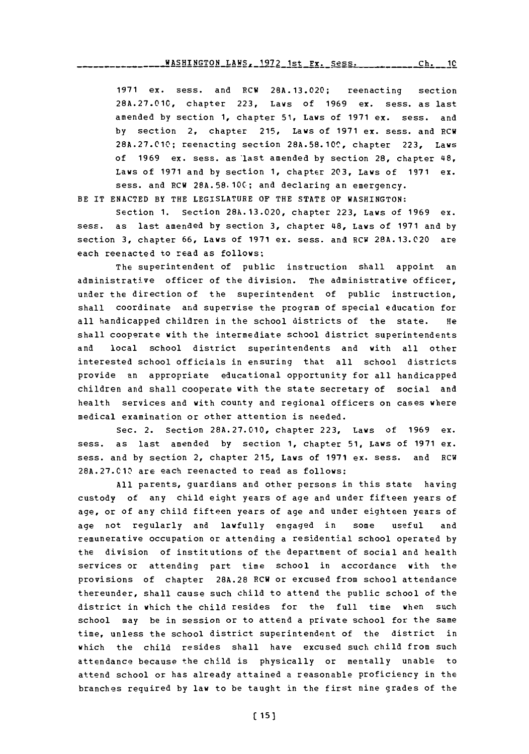#### WASHINGTON\_LAWS, 1972 1st Ex. Sess. Ch. 10

**1971** ex. sess. and RCW **28A.13.020;** reenacting section **28A.27.010,** chapter **223,** Laws of **1969** ex. sess. as last amended **by** section **1,** chapter **51,** Laws of **1971** ex. sess. and **by** section 2, chapter **215,** Laws of **1971** ex. sess. and RCW **28A.27.010;** reenacting section **28A.58.1OC,** chapter **223,** Laws of **1969** ex. sess. as'last amended **by** section **28,** chapter 48, Laws of **1971** and **by** section **1,** chapter **203,** Laws of **1971** ex. sess. and RCW **28A.58.10C;** and declaring an emergency.

BE IT **ENACTED** BY THE LEGISLATURE OF THE **STATE** OF **WASHINGTON:**

Section **1.** Section **28A.13.020,** chapter **223,** Laws of **1969** ex. mess, as last amended **by** section **3,** chapter 48, Laws of **1971** and **by** section **3,** chapter **66,** Laws of **1971** ex. sess. and RCW **28A.13.020** are each reenacted to read as follows:

The superintendent of public instruction shall appoint an administrative officer of the division. The administrative officer, under the direction of the superintendent of public instruction, shall coordinate and supervise the program of special education for all handicapped children in the school districts of the state. He shall cooperate with the intermediate school district superintendents and local school district superintendents and with all other interested school officials in ensuring that all school districts provide an appropriate educational opportunity for all handicapped children and shall cooperate with the state secretary of social and health services and with county and regional officers on cases where medical examination or other attention is needed.

Sec. 2. Section **28A.27.010,** chapter **223,** Laws of **1969** ex. mess, as last amended **by** section **1,** chapter **51,** Laws of **1971** ex. sess. and by section 2, chapter 215, Laws of 1971 ex. sess. and RCW **28A.27.C1',** are each reenacted to read as follows:

**All** parents, guardians and other persons in this state having custody of any child eight years of age and under fifteen years of age, or of any child fifteen years of age and under eighteen years of age not regularly and lawfully engaged in some useful and remunerative occupation or attending a residential school operated **by** the division of institutions of the department of social and health services or attending part time school in accordance with the provisions of chapter **28A.28** RCW or excused from school attendance thereunder, shall cause such child to attend the public school of the district in which the child resides for the full time when such school may be in session or to attend a private school for the same time, unless the school district superintendent of the district in which the child resides shall have excused such child from such attendance because the child is physically or mentally unable to attend school or has already attained a reasonable proficiency in the branches required **by** law to be taught in the first nine grades of the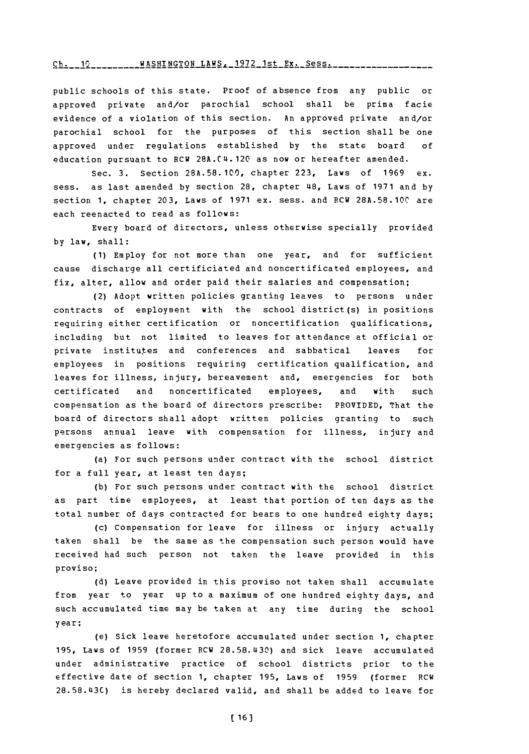## $Ch. 12$  \_\_\_\_\_\_\_\_\_ WASHINGTON LAWS. 1972 1st **Ex. Sess.** \_\_\_\_\_\_\_\_

public schools of this state. Proof of absence from any public or approved private and/or parochial school shall be prima facie evidence of a violation of this section. An approved private and/or parochial school for the purposes of this section shall be one approved under regulations established **by** the state board **of** education pursuant to  $RCW 28A.C4.120$  as now or hereafter amended.

Sec. **3.** Section **28A.58. 100,** chapter **223,** Laws of **1969** ex. sess. as last amended **by** section **28,** chapter 48 Laws of **1971** and **by** section **1,** chapter **203,** Laws of **1971** ex. sess. and RCW **28A.58.10C** are each reenacted to read as follows:

Every board of directors, unless otherwise specially provided **by** law, shall:

**(1)** Employ for not more than one year, and for sufficient cause discharge all certificiated and noncertificated employees, and fix, alter, allow and order paid their salaries and compensation;

(2) Adopt written policies granting leaves to persons under contracts of employment with the school district **(s)** in positions requiring either certification or noncertification qualifications, including but not limited to leaves for attendance at official or private institutes and conferences and sabbatical leaves for employees in positions requiring certification qualification, and leaves for illness, injury, bereavement and, emergencies for both certificated and noncertificated employees, and with such compensation as the board of directors prescribe: PROVIDED, That the board of directors shall adopt written policies granting to such persons annual leave with compensation for illness, injury and emergencies as follows:

(a) For such persons under contract with the school district for a full year, at least ten days;

**(b)** For such persons under contract with the school district as part time employees, at least that portion of ten days as the total number of days contracted for bears to one hundred eighty days;

(c) Compensation for leave for illness or injury actually taken shall be the same as the compensation such person would have received had such person not taken the leave provided in this proviso;

**(d)** Leave provided in this proviso not taken shall accumulate from year to year up to a maximum of one hundred eighty days, and such accumulated time may be taken at any time during the school year;

(e) Sick leave heretofore accumulated under section **1,** chapter **195,** Laws of **1959** (former RCW **28.58.430)** and sick leave accumulated under administrative practice of school districts prior to the effective date of section **1,** chapter **195,** Laws of **1959** (former RCW **28.58.4l3C)** is hereby declared valid, and shall be added to leave for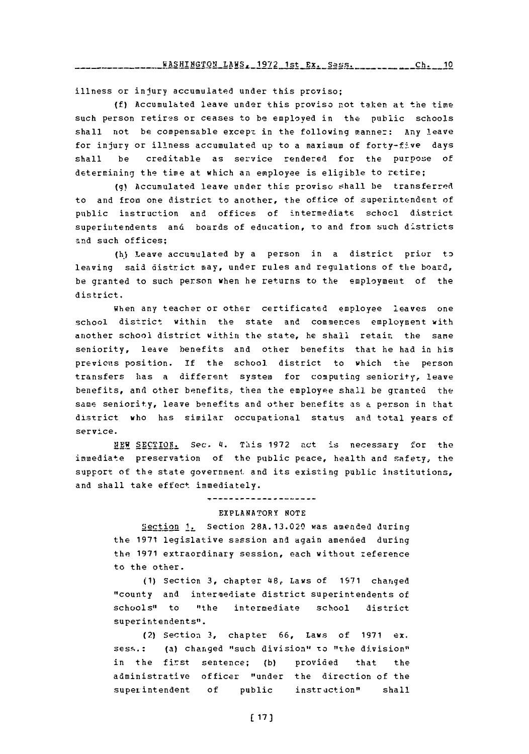illness or injury accumulated under this proviso:

**(f)** Accumulated leave under this proviso not takern at the time such person retires or ceases to be employed in the public schools shall not be compensable except in the following manner: Any leave for injury or illness accumulated up to a maximum of forty-five days shall be creditable as service rendered for the purpose of determining the time at which an employee is eligible to retire;

**(g)** Accumulated leave under this proviso shall be transferred to and from one district to another, the office of superintendent of public instruction and offices of intermediate schocl district superintendents and boards of education, to and from such districts and such offices;

**(kJ** Leave accumulated **by** a person in a district prior t3 leaving said district may, under rules and regulations of the board, be granted to such person when he returns to the employment of the district.

When any teacher or other certificated employee leaves one school district within the state and commences employment with another school district within the state, he shall retain the same seniority, leave benefits and other benefits that he had in his previons position. If the school. district to which the person transfers has a different system for computing seniority, leave benefits, and other benefits, then the employee shall be granted the sams seniority, leave benefits and other benefits as **a** person in that district who has similar occupational status and total years **of** service.

**NEW** SECTION. Sec. 4.\* This **1972** act is necessary for the immediate preservation of the public peace, health and safety, the support of the state government and its existing public institutions, and shall take effect immediately.

#### **+--------------------**

#### EXPLANATORY **NOTE**

Section **1.** Section **28A.13.020** was amended during the **1971** legislative sassion and again amended during the **1971** extraordinary session, each without zeference to the other.

**(1)** Section **3,** chapter 4\$8, Laws of **1971** changed "county and intermediate district superintendents of schools" to "the intermediate **school** district superintendents".

(2) Section **3,** chapter **66,** Laws of **1971** ex. sess.: (a) changed "such division" to "the division" in the first sentence; **(b)** provided that the administrative officer "under the direction of the superintendent of public instruction" shall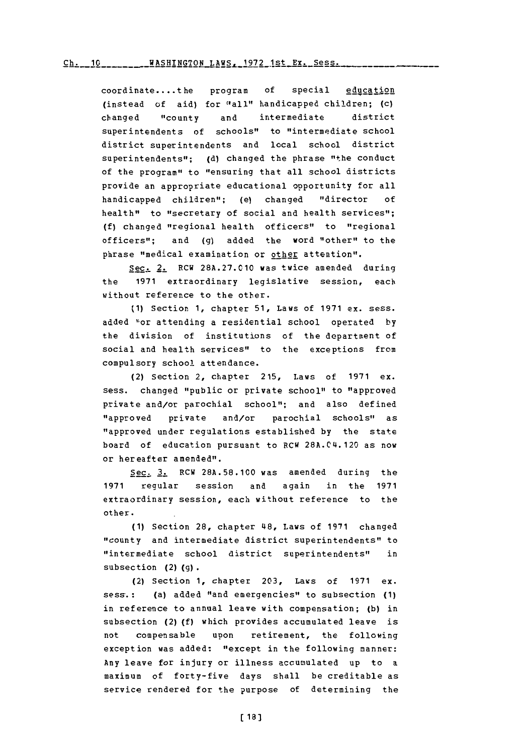# Ch. 10 WASHTN~TON LAWS. 1972 1st **Sy.** Sess. **Ch. 16** WASHTNrTON **T.AWI- 1979** 1-qt **Py-**

coordinate....the program of special education (instead of aid) for "all" handicapped children; (c) changed "county and intermediate district superintendents of schools" to "intermediate school district superintendents and local school district superintendents"; **(d)** changed the phrase "the conduct of the program" to "ensuring that all school districts provide an appropriate educational opportunity for all handicapped children"; (e) changed "director **of** health" to "secretary of social and health services"; **(f)** changed "regional health officers" to "regional officers"; and **(g)** added the word "other" to the phrase "medical examination or other attention".

Sec. 2. RCU **28A.27.010** was twice amended during the **1971** extraordinary legislative session, each without reference to the other.

**(1)** Section **1,** chapter **51,** Laws of **1971** ex. sess. added I"or attending a residential school operated **by** the division of institutions of the department of social and health services" to the exceptions from compulsory school attendance.

(2) Section 2, chapter **215,** Laws of **1971** ex. sess. changed "public or private school" to "approved private and/or parochial school"; and also defined "approved private and/or parochial schools" as "approved under regulations established **by** the state board of education pursuant to RCW 28A.04.120 as now or hereafter amended".

Sec. **3.** ECU **28A.58.100** was amended during the **1971** regular session and again in the **1971** extraordinary session, each without reference to the other.

**(1)** Section **28,** chapter 4~8, Laws of **1971** changed "county and intermediate district superintendents" to "intermediate school district superintendents" in subsection (2) **(g).**

(2) Section **1,** chapter **203,** Laws of **1971** ex. sess.: (a) added "and emergencies" to subsection **(1)** in reference to annual leave with compensation; **(b)** in subsection **(2) (f)** which provides accumulated leave is not compensable upon retirement, the following exception was added: "except in the following manner: Any leave for injury or illness accumulated up to a maximum of forty-five days shall be creditable as service rendered for the purpose of determining the